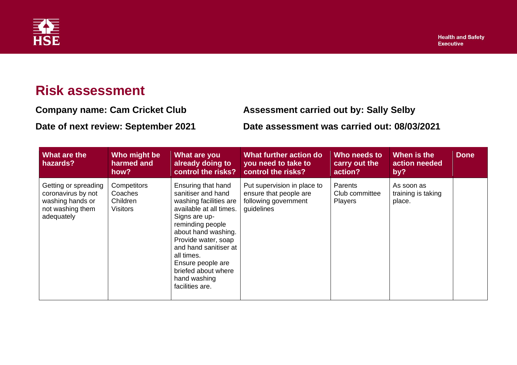

## **Risk assessment**

**Company name: Cam Cricket Club Assessment carried out by: Sally Selby**

**Date of next review: September 2021 Date assessment was carried out: 08/03/2021**

| What are the<br>hazards?                                                                         | Who might be<br>harmed and<br>how?                    | What are you<br>already doing to<br>control the risks?                                                                                                                                                                                                                                                 | What further action do<br>you need to take to<br>control the risks?                         | Who needs to<br>carry out the<br>action? | When is the<br>action needed<br>by?        | <b>Done</b> |
|--------------------------------------------------------------------------------------------------|-------------------------------------------------------|--------------------------------------------------------------------------------------------------------------------------------------------------------------------------------------------------------------------------------------------------------------------------------------------------------|---------------------------------------------------------------------------------------------|------------------------------------------|--------------------------------------------|-------------|
| Getting or spreading<br>coronavirus by not<br>washing hands or<br>not washing them<br>adequately | Competitors<br>Coaches<br>Children<br><b>Visitors</b> | Ensuring that hand<br>sanitiser and hand<br>washing facilities are<br>available at all times.<br>Signs are up-<br>reminding people<br>about hand washing.<br>Provide water, soap<br>and hand sanitiser at<br>all times.<br>Ensure people are<br>briefed about where<br>hand washing<br>facilities are. | Put supervision in place to<br>ensure that people are<br>following government<br>guidelines | Parents<br>Club committee<br>Players     | As soon as<br>training is taking<br>place. |             |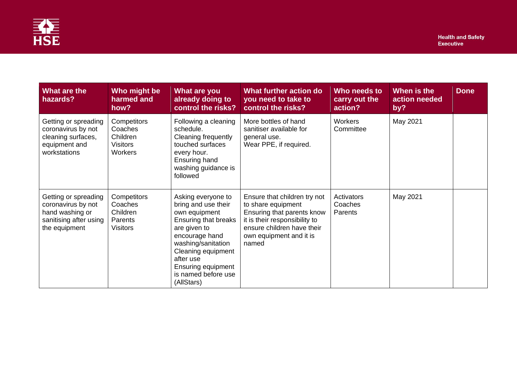

| What are the<br>hazards?                                                                                 | Who might be<br>harmed and<br>how?                               | What are you<br>already doing to<br>control the risks?                                                                                                                                                                                   | What further action do<br>you need to take to<br>control the risks?                                                                                                                 | Who needs to<br>carry out the<br>action? | When is the<br>action needed<br>by? | <b>Done</b> |
|----------------------------------------------------------------------------------------------------------|------------------------------------------------------------------|------------------------------------------------------------------------------------------------------------------------------------------------------------------------------------------------------------------------------------------|-------------------------------------------------------------------------------------------------------------------------------------------------------------------------------------|------------------------------------------|-------------------------------------|-------------|
| Getting or spreading<br>coronavirus by not<br>cleaning surfaces,<br>equipment and<br>workstations        | Competitors<br>Coaches<br>Children<br><b>Visitors</b><br>Workers | Following a cleaning<br>schedule.<br>Cleaning frequently<br>touched surfaces<br>every hour.<br>Ensuring hand<br>washing guidance is<br>followed                                                                                          | More bottles of hand<br>sanitiser available for<br>general use.<br>Wear PPE, if required.                                                                                           | Workers<br>Committee                     | May 2021                            |             |
| Getting or spreading<br>coronavirus by not<br>hand washing or<br>sanitising after using<br>the equipment | Competitors<br>Coaches<br>Children<br>Parents<br><b>Visitors</b> | Asking everyone to<br>bring and use their<br>own equipment<br>Ensuring that breaks<br>are given to<br>encourage hand<br>washing/sanitation<br>Cleaning equipment<br>after use<br>Ensuring equipment<br>is named before use<br>(AllStars) | Ensure that children try not<br>to share equipment<br>Ensuring that parents know<br>it is their responsibility to<br>ensure children have their<br>own equipment and it is<br>named | Activators<br>Coaches<br>Parents         | May 2021                            |             |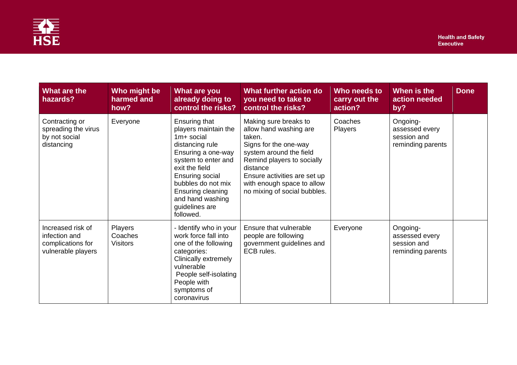

| What are the<br>hazards?                                                      | Who might be<br>harmed and<br>how? | What are you<br>already doing to<br>control the risks?                                                                                                                                                                                                          | What further action do<br>you need to take to<br>control the risks?                                                                                                                                                                                   | Who needs to<br>carry out the<br>action? | When is the<br>action needed<br>by?                            | <b>Done</b> |
|-------------------------------------------------------------------------------|------------------------------------|-----------------------------------------------------------------------------------------------------------------------------------------------------------------------------------------------------------------------------------------------------------------|-------------------------------------------------------------------------------------------------------------------------------------------------------------------------------------------------------------------------------------------------------|------------------------------------------|----------------------------------------------------------------|-------------|
| Contracting or<br>spreading the virus<br>by not social<br>distancing          | Everyone                           | Ensuring that<br>players maintain the<br>$1m+$ social<br>distancing rule<br>Ensuring a one-way<br>system to enter and<br>exit the field<br><b>Ensuring social</b><br>bubbles do not mix<br>Ensuring cleaning<br>and hand washing<br>guidelines are<br>followed. | Making sure breaks to<br>allow hand washing are<br>taken.<br>Signs for the one-way<br>system around the field<br>Remind players to socially<br>distance<br>Ensure activities are set up<br>with enough space to allow<br>no mixing of social bubbles. | Coaches<br>Players                       | Ongoing-<br>assessed every<br>session and<br>reminding parents |             |
| Increased risk of<br>infection and<br>complications for<br>vulnerable players | Players<br>Coaches<br>Visitors     | - Identify who in your<br>work force fall into<br>one of the following<br>categories:<br>Clinically extremely<br>vulnerable<br>People self-isolating<br>People with<br>symptoms of<br>coronavirus                                                               | Ensure that vulnerable<br>people are following<br>government guidelines and<br>ECB rules.                                                                                                                                                             | Everyone                                 | Ongoing-<br>assessed every<br>session and<br>reminding parents |             |